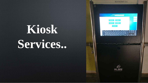# **Kiosk Services..**

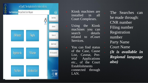

❖ Kiosk machines are installed in all Court Complexes.

Using the Kiosk machines you can search details related to eCourt Services.

You can find status of the Case, Cause List, Caveat, Pretrial Applications etc., of the Court Establishments connected through LAN.

The Searches can be made through: • CNR number Filing number **Registration** number Party Name • Court Name • *(It is available in Regional language also)*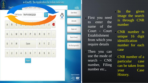

⚫ First you need to enter the name of the Court - Court Establishment from which you require details

தமிழ்

Then you can use the mode of search – CNR number, Filing number etc . ,

In the given image the search is through CNR number

⚫ CNR number is unique 16 digit identification number for each case

⚫ CNR number of a particular case can be taken from your Case History .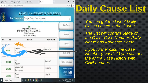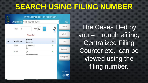#### **SEARCH USING FILING NUMBER**

#### e-Courtis, The Application for Indian Judiciary



The Cases filed by you – through efiling, Centralized Filing Counter etc., can be viewed using the filing number.

Jesigned & Developed by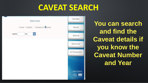#### **CAVEAT SEARCH**

|             |       | Search Caveat                                              |  |
|-------------|-------|------------------------------------------------------------|--|
|             |       | CAnywhere C Starting With C Subordinate Court C Caveat No. |  |
| Caveat No.: | Year: | Go                                                         |  |

| Case Status             |  |
|-------------------------|--|
| Advocate                |  |
| Cause List              |  |
| Search Caveat           |  |
| Pre Trial Application   |  |
|                         |  |
| Designed & Developed by |  |
| <b>PORMATICS NEWS</b>   |  |

#### **You can search and find the Caveat details if you know the Caveat Number and Year**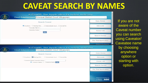#### **CAVEAT SEARCH BY NAMES**

| e-CourtIS, The Application for Indian Judiciary<br>Court Establishment Principal District Court Villupuram | io.                           |
|------------------------------------------------------------------------------------------------------------|-------------------------------|
| Search Caveat                                                                                              | Case Status                   |
| CAnywhere Starting With<br>O Subordinate Court O Caveat No.<br>*Caveator Name                              | Advocate                      |
| Caveatee Name:<br>Go                                                                                       | Cause List                    |
|                                                                                                            | Search Caveat                 |
|                                                                                                            | <b>Pre Trial Application</b>  |
| e-CourtIS, The Application for Indian Judiciary<br>Court Establishment Principal District Court Villupuram | Designed & Developed by<br>æ. |
| Search Caveat                                                                                              | <b>Case Status</b>            |
| C Anywhere Starting With<br>O Subordinate Court O Caveat No.                                               | Advocate                      |
| *Caveator Name/Caveatee Name:<br>Caveator Name C Caveatee Name Co                                          | Cause List                    |
|                                                                                                            | Search Caveat                 |
|                                                                                                            | Pre Trial Application         |

If you are not aware of the Caveat number you can search using Caveator/ Caveatee name by choosing anywhere option or starting with option.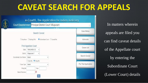# **CAVEAT SEARCH FOR APPEALS**

e-CourlIS, The Application for Indian Judiciary **Court Establishment Principal District Court Villupuram** Case Status Search Caveat CAnvwhere C Starting With C Subordinate Court C Caveat No. Advocate First Appellate Court Cause List TAMILNADU-33 State: District Viluppuram-7 **Search Caveat** Subordinate Court Name Select Case No. Filing No. Pre Trial Application \*Case Type: Select Filing No. Year Date of Decision:

In matters wherein appeals are filed you can find caveat details of the Appellate court by entering the Subordinate Court (Lower Court) details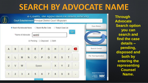# **SEARCH BY ADVOCATE NAME**



**Through Advocate Search option you can search and find the case details – pending, disposed and both by entering the representing Counsel Name.**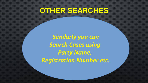**OTHER SEARCHES**

*Similarly you can Search Cases using Party Name, Registration Number etc.*